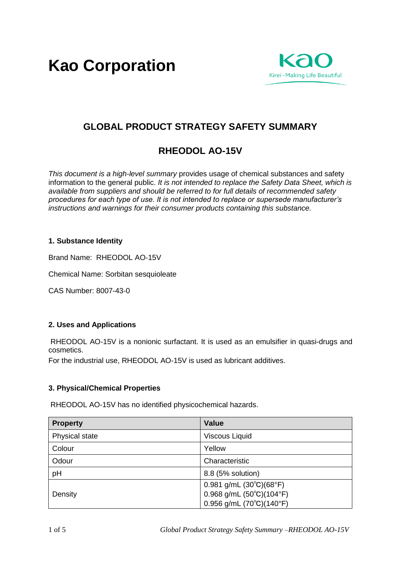**Kao Corporation**



# **GLOBAL PRODUCT STRATEGY SAFETY SUMMARY**

# **RHEODOL AO-15V**

*This document is a high-level summary* provides usage of chemical substances and safety information to the general public. *It is not intended to replace the Safety Data Sheet, which is available from suppliers and should be referred to for full details of recommended safety procedures for each type of use. It is not intended to replace or supersede manufacturer's instructions and warnings for their consumer products containing this substance.* 

# **1. Substance Identity**

Brand Name: RHEODOL AO-15V

Chemical Name: Sorbitan sesquioleate

CAS Number: 8007-43-0

#### **2. Uses and Applications**

RHEODOL AO-15V is a nonionic surfactant. It is used as an emulsifier in quasi-drugs and cosmetics.

For the industrial use, RHEODOL AO-15V is used as lubricant additives.

#### **3. Physical/Chemical Properties**

RHEODOL AO-15V has no identified physicochemical hazards.

| <b>Property</b> | <b>Value</b>                                     |
|-----------------|--------------------------------------------------|
| Physical state  | <b>Viscous Liquid</b>                            |
| Colour          | Yellow                                           |
| Odour           | Characteristic                                   |
| pH              | 8.8 (5% solution)                                |
|                 | $0.981$ g/mL $(30^{\circ}C)(68^{\circ}F)$        |
| Density         | $0.968$ g/mL $(50^{\circ}C)(104^{\circ}F)$       |
|                 | $0.956$ g/mL (70 $^{\circ}$ C)(140 $^{\circ}$ F) |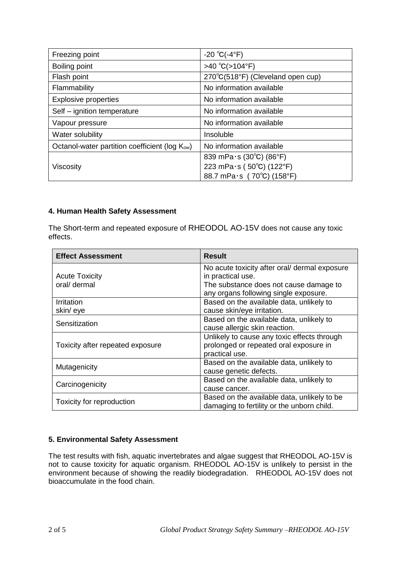| Freezing point                                             | $-20 °C(-4 °F)$                   |
|------------------------------------------------------------|-----------------------------------|
| Boiling point                                              | >40 °C( $>104$ °F)                |
| Flash point                                                | 270°C(518°F) (Cleveland open cup) |
| Flammability                                               | No information available          |
| <b>Explosive properties</b>                                | No information available          |
| Self - ignition temperature                                | No information available          |
| Vapour pressure                                            | No information available          |
| Water solubility                                           | Insoluble                         |
| Octanol-water partition coefficient (log K <sub>ow</sub> ) | No information available          |
|                                                            | 839 mPa $\cdot$ s (30°C) (86°F)   |
| Viscosity                                                  | 223 mPa $\cdot$ s (50°C) (122°F)  |
|                                                            | 88.7 mPa·s (70°C) (158°F)         |

# **4. Human Health Safety Assessment**

The Short-term and repeated exposure of RHEODOL AO-15V does not cause any toxic effects.

| <b>Effect Assessment</b>         | <b>Result</b>                                 |
|----------------------------------|-----------------------------------------------|
|                                  | No acute toxicity after oral/ dermal exposure |
| <b>Acute Toxicity</b>            | in practical use.                             |
| oral/ dermal                     | The substance does not cause damage to        |
|                                  | any organs following single exposure.         |
| Irritation                       | Based on the available data, unlikely to      |
| skin/eye                         | cause skin/eye irritation.                    |
| Sensitization                    | Based on the available data, unlikely to      |
|                                  | cause allergic skin reaction.                 |
|                                  | Unlikely to cause any toxic effects through   |
| Toxicity after repeated exposure | prolonged or repeated oral exposure in        |
|                                  | practical use.                                |
| Mutagenicity                     | Based on the available data, unlikely to      |
|                                  | cause genetic defects.                        |
| Carcinogenicity                  | Based on the available data, unlikely to      |
|                                  | cause cancer.                                 |
| Toxicity for reproduction        | Based on the available data, unlikely to be   |
|                                  | damaging to fertility or the unborn child.    |

# **5. Environmental Safety Assessment**

The test results with fish, aquatic invertebrates and algae suggest that RHEODOL AO-15V is not to cause toxicity for aquatic organism. RHEODOL AO-15V is unlikely to persist in the environment because of showing the readily biodegradation. RHEODOL AO-15V does not bioaccumulate in the food chain.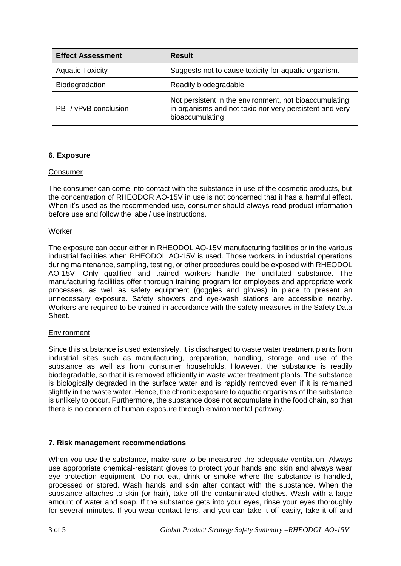| <b>Effect Assessment</b> | <b>Result</b>                                                                                                                        |
|--------------------------|--------------------------------------------------------------------------------------------------------------------------------------|
| <b>Aquatic Toxicity</b>  | Suggests not to cause toxicity for aquatic organism.                                                                                 |
| Biodegradation           | Readily biodegradable                                                                                                                |
| PBT/ vPvB conclusion     | Not persistent in the environment, not bioaccumulating<br>in organisms and not toxic nor very persistent and very<br>bioaccumulating |

# **6. Exposure**

#### **Consumer**

The consumer can come into contact with the substance in use of the cosmetic products, but the concentration of RHEODOR AO-15V in use is not concerned that it has a harmful effect. When it's used as the recommended use, consumer should always read product information before use and follow the label/ use instructions.

#### Worker

The exposure can occur either in RHEODOL AO-15V manufacturing facilities or in the various industrial facilities when RHEODOL AO-15V is used. Those workers in industrial operations during maintenance, sampling, testing, or other procedures could be exposed with RHEODOL AO-15V. Only qualified and trained workers handle the undiluted substance. The manufacturing facilities offer thorough training program for employees and appropriate work processes, as well as safety equipment (goggles and gloves) in place to present an unnecessary exposure. Safety showers and eye-wash stations are accessible nearby. Workers are required to be trained in accordance with the safety measures in the Safety Data Sheet.

#### Environment

Since this substance is used extensively, it is discharged to waste water treatment plants from industrial sites such as manufacturing, preparation, handling, storage and use of the substance as well as from consumer households. However, the substance is readily biodegradable, so that it is removed efficiently in waste water treatment plants. The substance is biologically degraded in the surface water and is rapidly removed even if it is remained slightly in the waste water. Hence, the chronic exposure to aquatic organisms of the substance is unlikely to occur. Furthermore, the substance dose not accumulate in the food chain, so that there is no concern of human exposure through environmental pathway.

#### **7. Risk management recommendations**

When you use the substance, make sure to be measured the adequate ventilation. Always use appropriate chemical-resistant gloves to protect your hands and skin and always wear eye protection equipment. Do not eat, drink or smoke where the substance is handled, processed or stored. Wash hands and skin after contact with the substance. When the substance attaches to skin (or hair), take off the contaminated clothes. Wash with a large amount of water and soap. If the substance gets into your eyes, rinse your eyes thoroughly for several minutes. If you wear contact lens, and you can take it off easily, take it off and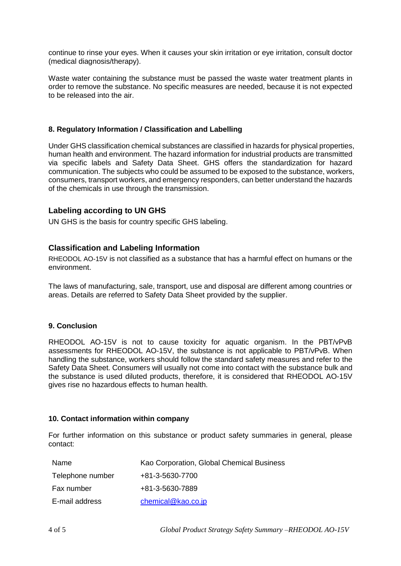continue to rinse your eyes. When it causes your skin irritation or eye irritation, consult doctor (medical diagnosis/therapy).

Waste water containing the substance must be passed the waste water treatment plants in order to remove the substance. No specific measures are needed, because it is not expected to be released into the air.

#### **8. Regulatory Information / Classification and Labelling**

Under GHS classification chemical substances are classified in hazards for physical properties, human health and environment. The hazard information for industrial products are transmitted via specific labels and Safety Data Sheet. GHS offers the standardization for hazard communication. The subjects who could be assumed to be exposed to the substance, workers, consumers, transport workers, and emergency responders, can better understand the hazards of the chemicals in use through the transmission.

#### **Labeling according to UN GHS**

UN GHS is the basis for country specific GHS labeling.

# **Classification and Labeling Information**

RHEODOL AO-15V is not classified as a substance that has a harmful effect on humans or the environment.

The laws of manufacturing, sale, transport, use and disposal are different among countries or areas. Details are referred to Safety Data Sheet provided by the supplier.

#### **9. Conclusion**

RHEODOL AO-15V is not to cause toxicity for aquatic organism. In the PBT/vPvB assessments for RHEODOL AO-15V, the substance is not applicable to PBT/vPvB. When handling the substance, workers should follow the standard safety measures and refer to the Safety Data Sheet. Consumers will usually not come into contact with the substance bulk and the substance is used diluted products, therefore, it is considered that RHEODOL AO-15V gives rise no hazardous effects to human health.

#### **10. Contact information within company**

For further information on this substance or product safety summaries in general, please contact:

| Name             | Kao Corporation, Global Chemical Business |
|------------------|-------------------------------------------|
| Telephone number | +81-3-5630-7700                           |
| Fax number       | +81-3-5630-7889                           |
| E-mail address   | chemical@kao.co.jp                        |